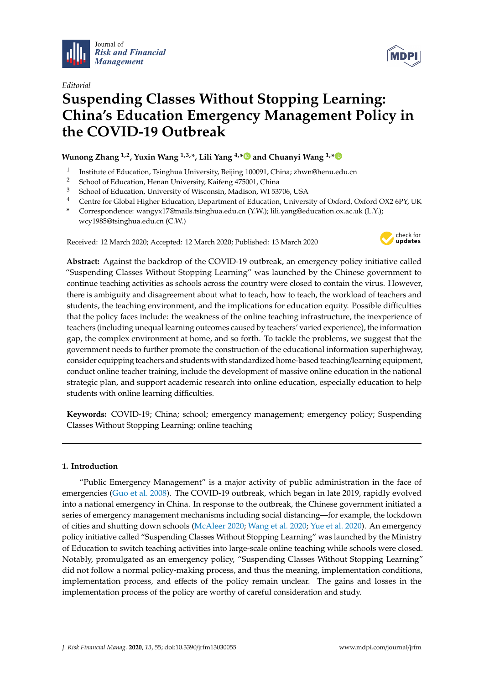



# *Editorial* **Suspending Classes Without Stopping Learning: China's Education Emergency Management Policy in the COVID-19 Outbreak**

## **Wunong Zhang 1,2, Yuxin Wang 1,3,\*, Lili Yang 4,[\\*](https://orcid.org/0000-0003-1277-3791) and Chuanyi Wang 1,[\\*](https://orcid.org/0000-0002-3331-4845)**

- 1 Institute of Education, Tsinghua University, Beijing 100091, China; zhwn@henu.edu.cn
- 2 School of Education, Henan University, Kaifeng 475001, China<br>3 School of Education, University of Wisconsin, Madison, WI 52
- <sup>3</sup> School of Education, University of Wisconsin, Madison, WI 53706, USA
- <sup>4</sup> Centre for Global Higher Education, Department of Education, University of Oxford, Oxford OX2 6PY, UK
- **\*** Correspondence: wangyx17@mails.tsinghua.edu.cn (Y.W.); lili.yang@education.ox.ac.uk (L.Y.); wcy1985@tsinghua.edu.cn (C.W.)

Received: 12 March 2020; Accepted: 12 March 2020; Published: 13 March 2020



**Abstract:** Against the backdrop of the COVID-19 outbreak, an emergency policy initiative called "Suspending Classes Without Stopping Learning" was launched by the Chinese government to continue teaching activities as schools across the country were closed to contain the virus. However, there is ambiguity and disagreement about what to teach, how to teach, the workload of teachers and students, the teaching environment, and the implications for education equity. Possible difficulties that the policy faces include: the weakness of the online teaching infrastructure, the inexperience of teachers (including unequal learning outcomes caused by teachers' varied experience), the information gap, the complex environment at home, and so forth. To tackle the problems, we suggest that the government needs to further promote the construction of the educational information superhighway, consider equipping teachers and students with standardized home-based teaching/learning equipment, conduct online teacher training, include the development of massive online education in the national strategic plan, and support academic research into online education, especially education to help students with online learning difficulties.

**Keywords:** COVID-19; China; school; emergency management; emergency policy; Suspending Classes Without Stopping Learning; online teaching

### **1. Introduction**

"Public Emergency Management" is a major activity of public administration in the face of emergencies [\(Guo et al.](#page-5-0) [2008\)](#page-5-0). The COVID-19 outbreak, which began in late 2019, rapidly evolved into a national emergency in China. In response to the outbreak, the Chinese government initiated a series of emergency management mechanisms including social distancing—for example, the lockdown of cities and shutting down schools [\(McAleer](#page-5-1) [2020;](#page-5-1) [Wang et al.](#page-5-2) [2020;](#page-5-2) [Yue et al.](#page-5-3) [2020\)](#page-5-3). An emergency policy initiative called "Suspending Classes Without Stopping Learning" was launched by the Ministry of Education to switch teaching activities into large-scale online teaching while schools were closed. Notably, promulgated as an emergency policy, "Suspending Classes Without Stopping Learning" did not follow a normal policy-making process, and thus the meaning, implementation conditions, implementation process, and effects of the policy remain unclear. The gains and losses in the implementation process of the policy are worthy of careful consideration and study.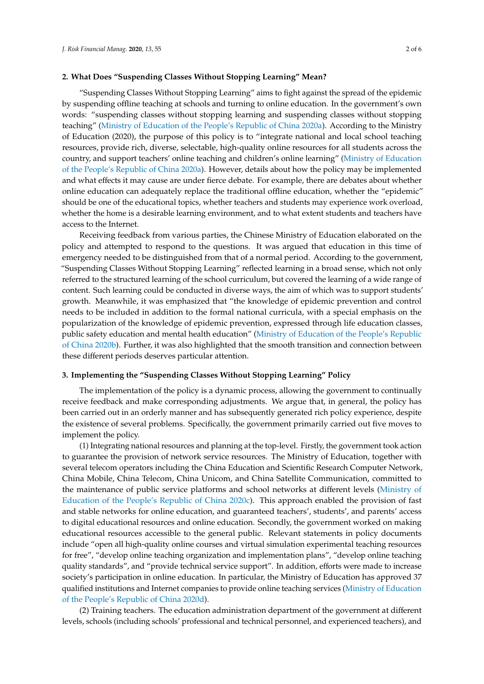#### **2. What Does "Suspending Classes Without Stopping Learning" Mean?**

"Suspending Classes Without Stopping Learning" aims to fight against the spread of the epidemic by suspending offline teaching at schools and turning to online education. In the government's own words: "suspending classes without stopping learning and suspending classes without stopping teaching" [\(Ministry of Education of the People's Republic of China](#page-5-4) [2020a\)](#page-5-4). According to the Ministry of Education (2020), the purpose of this policy is to "integrate national and local school teaching resources, provide rich, diverse, selectable, high-quality online resources for all students across the country, and support teachers' online teaching and children's online learning" [\(Ministry of Education](#page-5-4) [of the People's Republic of China](#page-5-4) [2020a\)](#page-5-4). However, details about how the policy may be implemented and what effects it may cause are under fierce debate. For example, there are debates about whether online education can adequately replace the traditional offline education, whether the "epidemic" should be one of the educational topics, whether teachers and students may experience work overload, whether the home is a desirable learning environment, and to what extent students and teachers have access to the Internet.

Receiving feedback from various parties, the Chinese Ministry of Education elaborated on the policy and attempted to respond to the questions. It was argued that education in this time of emergency needed to be distinguished from that of a normal period. According to the government, "Suspending Classes Without Stopping Learning" reflected learning in a broad sense, which not only referred to the structured learning of the school curriculum, but covered the learning of a wide range of content. Such learning could be conducted in diverse ways, the aim of which was to support students' growth. Meanwhile, it was emphasized that "the knowledge of epidemic prevention and control needs to be included in addition to the formal national curricula, with a special emphasis on the popularization of the knowledge of epidemic prevention, expressed through life education classes, public safety education and mental health education" [\(Ministry of Education of the People's Republic](#page-5-5) [of China](#page-5-5) [2020b\)](#page-5-5). Further, it was also highlighted that the smooth transition and connection between these different periods deserves particular attention.

#### **3. Implementing the "Suspending Classes Without Stopping Learning" Policy**

The implementation of the policy is a dynamic process, allowing the government to continually receive feedback and make corresponding adjustments. We argue that, in general, the policy has been carried out in an orderly manner and has subsequently generated rich policy experience, despite the existence of several problems. Specifically, the government primarily carried out five moves to implement the policy.

(1) Integrating national resources and planning at the top-level. Firstly, the government took action to guarantee the provision of network service resources. The Ministry of Education, together with several telecom operators including the China Education and Scientific Research Computer Network, China Mobile, China Telecom, China Unicom, and China Satellite Communication, committed to the maintenance of public service platforms and school networks at different levels [\(Ministry of](#page-5-6) [Education of the People's Republic of China](#page-5-6) [2020c\)](#page-5-6). This approach enabled the provision of fast and stable networks for online education, and guaranteed teachers', students', and parents' access to digital educational resources and online education. Secondly, the government worked on making educational resources accessible to the general public. Relevant statements in policy documents include "open all high-quality online courses and virtual simulation experimental teaching resources for free", "develop online teaching organization and implementation plans", "develop online teaching quality standards", and "provide technical service support". In addition, efforts were made to increase society's participation in online education. In particular, the Ministry of Education has approved 37 qualified institutions and Internet companies to provide online teaching services [\(Ministry of Education](#page-5-7) [of the People's Republic of China](#page-5-7) [2020d\)](#page-5-7).

(2) Training teachers. The education administration department of the government at different levels, schools (including schools' professional and technical personnel, and experienced teachers), and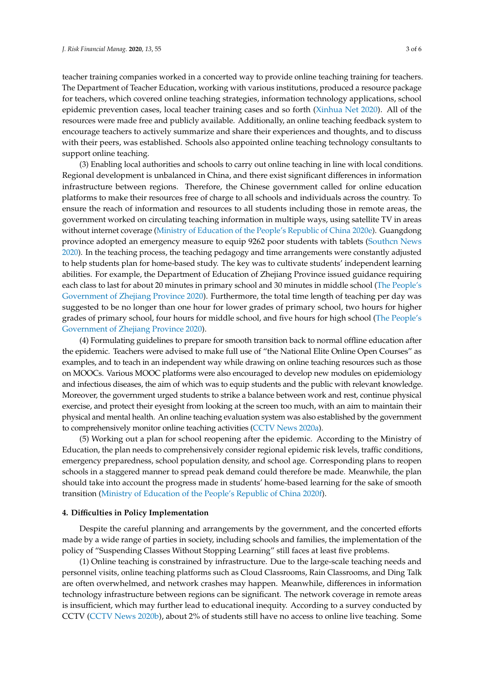teacher training companies worked in a concerted way to provide online teaching training for teachers. The Department of Teacher Education, working with various institutions, produced a resource package for teachers, which covered online teaching strategies, information technology applications, school epidemic prevention cases, local teacher training cases and so forth [\(Xinhua Net](#page-5-8) [2020\)](#page-5-8). All of the resources were made free and publicly available. Additionally, an online teaching feedback system to encourage teachers to actively summarize and share their experiences and thoughts, and to discuss with their peers, was established. Schools also appointed online teaching technology consultants to support online teaching.

(3) Enabling local authorities and schools to carry out online teaching in line with local conditions. Regional development is unbalanced in China, and there exist significant differences in information infrastructure between regions. Therefore, the Chinese government called for online education platforms to make their resources free of charge to all schools and individuals across the country. To ensure the reach of information and resources to all students including those in remote areas, the government worked on circulating teaching information in multiple ways, using satellite TV in areas without internet coverage [\(Ministry of Education of the People's Republic of China](#page-5-9) [2020e\)](#page-5-9). Guangdong province adopted an emergency measure to equip 9262 poor students with tablets [\(Southcn News](#page-5-10) [2020\)](#page-5-10). In the teaching process, the teaching pedagogy and time arrangements were constantly adjusted to help students plan for home-based study. The key was to cultivate students' independent learning abilities. For example, the Department of Education of Zhejiang Province issued guidance requiring each class to last for about 20 minutes in primary school and 30 minutes in middle school [\(The People's](#page-5-11) [Government of Zhejiang Province](#page-5-11) [2020\)](#page-5-11). Furthermore, the total time length of teaching per day was suggested to be no longer than one hour for lower grades of primary school, two hours for higher grades of primary school, four hours for middle school, and five hours for high school [\(The People's](#page-5-11) [Government of Zhejiang Province](#page-5-11) [2020\)](#page-5-11).

(4) Formulating guidelines to prepare for smooth transition back to normal offline education after the epidemic. Teachers were advised to make full use of "the National Elite Online Open Courses" as examples, and to teach in an independent way while drawing on online teaching resources such as those on MOOCs. Various MOOC platforms were also encouraged to develop new modules on epidemiology and infectious diseases, the aim of which was to equip students and the public with relevant knowledge. Moreover, the government urged students to strike a balance between work and rest, continue physical exercise, and protect their eyesight from looking at the screen too much, with an aim to maintain their physical and mental health. An online teaching evaluation system was also established by the government to comprehensively monitor online teaching activities [\(CCTV News](#page-4-0) [2020a\)](#page-4-0).

(5) Working out a plan for school reopening after the epidemic. According to the Ministry of Education, the plan needs to comprehensively consider regional epidemic risk levels, traffic conditions, emergency preparedness, school population density, and school age. Corresponding plans to reopen schools in a staggered manner to spread peak demand could therefore be made. Meanwhile, the plan should take into account the progress made in students' home-based learning for the sake of smooth transition [\(Ministry of Education of the People's Republic of China](#page-5-12) [2020f\)](#page-5-12).

#### **4. Di**ffi**culties in Policy Implementation**

Despite the careful planning and arrangements by the government, and the concerted efforts made by a wide range of parties in society, including schools and families, the implementation of the policy of "Suspending Classes Without Stopping Learning" still faces at least five problems.

(1) Online teaching is constrained by infrastructure. Due to the large-scale teaching needs and personnel visits, online teaching platforms such as Cloud Classrooms, Rain Classrooms, and Ding Talk are often overwhelmed, and network crashes may happen. Meanwhile, differences in information technology infrastructure between regions can be significant. The network coverage in remote areas is insufficient, which may further lead to educational inequity. According to a survey conducted by CCTV [\(CCTV News](#page-4-1) [2020b\)](#page-4-1), about 2% of students still have no access to online live teaching. Some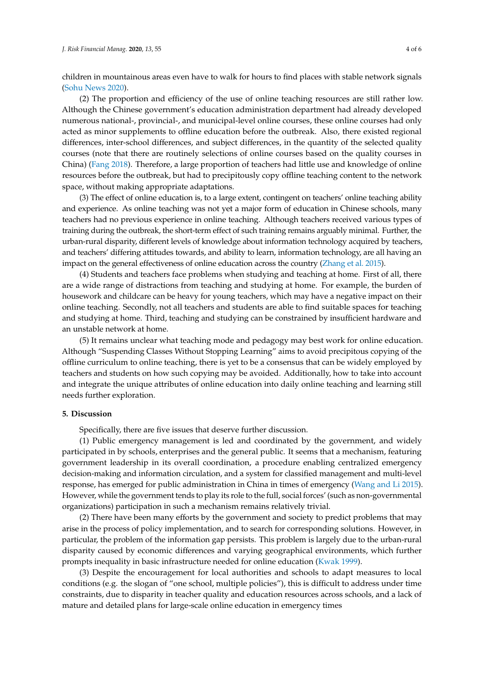children in mountainous areas even have to walk for hours to find places with stable network signals [\(Sohu News](#page-5-13) [2020\)](#page-5-13).

(2) The proportion and efficiency of the use of online teaching resources are still rather low. Although the Chinese government's education administration department had already developed numerous national-, provincial-, and municipal-level online courses, these online courses had only acted as minor supplements to offline education before the outbreak. Also, there existed regional differences, inter-school differences, and subject differences, in the quantity of the selected quality courses (note that there are routinely selections of online courses based on the quality courses in China) [\(Fang](#page-5-14) [2018\)](#page-5-14). Therefore, a large proportion of teachers had little use and knowledge of online resources before the outbreak, but had to precipitously copy offline teaching content to the network space, without making appropriate adaptations.

(3) The effect of online education is, to a large extent, contingent on teachers' online teaching ability and experience. As online teaching was not yet a major form of education in Chinese schools, many teachers had no previous experience in online teaching. Although teachers received various types of training during the outbreak, the short-term effect of such training remains arguably minimal. Further, the urban-rural disparity, different levels of knowledge about information technology acquired by teachers, and teachers' differing attitudes towards, and ability to learn, information technology, are all having an impact on the general effectiveness of online education across the country [\(Zhang et al.](#page-5-15) [2015\)](#page-5-15).

(4) Students and teachers face problems when studying and teaching at home. First of all, there are a wide range of distractions from teaching and studying at home. For example, the burden of housework and childcare can be heavy for young teachers, which may have a negative impact on their online teaching. Secondly, not all teachers and students are able to find suitable spaces for teaching and studying at home. Third, teaching and studying can be constrained by insufficient hardware and an unstable network at home.

(5) It remains unclear what teaching mode and pedagogy may best work for online education. Although "Suspending Classes Without Stopping Learning" aims to avoid precipitous copying of the offline curriculum to online teaching, there is yet to be a consensus that can be widely employed by teachers and students on how such copying may be avoided. Additionally, how to take into account and integrate the unique attributes of online education into daily online teaching and learning still needs further exploration.

#### **5. Discussion**

Specifically, there are five issues that deserve further discussion.

(1) Public emergency management is led and coordinated by the government, and widely participated in by schools, enterprises and the general public. It seems that a mechanism, featuring government leadership in its overall coordination, a procedure enabling centralized emergency decision-making and information circulation, and a system for classified management and multi-level response, has emerged for public administration in China in times of emergency [\(Wang and Li](#page-5-16) [2015\)](#page-5-16). However, while the government tends to play its role to the full, social forces' (such as non-governmental organizations) participation in such a mechanism remains relatively trivial.

(2) There have been many efforts by the government and society to predict problems that may arise in the process of policy implementation, and to search for corresponding solutions. However, in particular, the problem of the information gap persists. This problem is largely due to the urban-rural disparity caused by economic differences and varying geographical environments, which further prompts inequality in basic infrastructure needed for online education [\(Kwak](#page-5-17) [1999\)](#page-5-17).

(3) Despite the encouragement for local authorities and schools to adapt measures to local conditions (e.g. the slogan of "one school, multiple policies"), this is difficult to address under time constraints, due to disparity in teacher quality and education resources across schools, and a lack of mature and detailed plans for large-scale online education in emergency times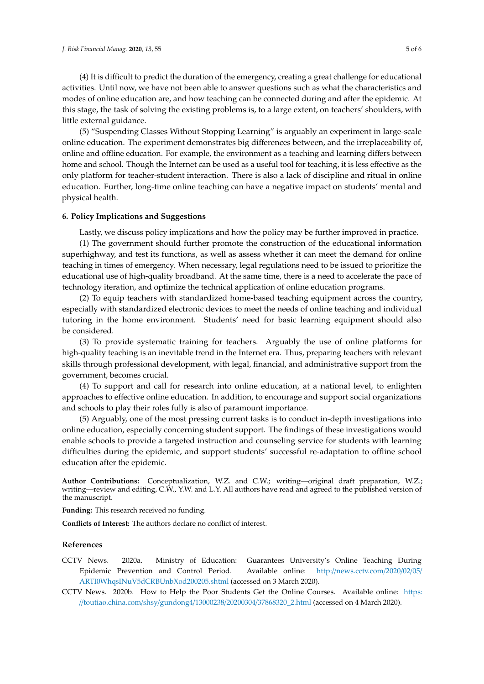(4) It is difficult to predict the duration of the emergency, creating a great challenge for educational activities. Until now, we have not been able to answer questions such as what the characteristics and modes of online education are, and how teaching can be connected during and after the epidemic. At this stage, the task of solving the existing problems is, to a large extent, on teachers' shoulders, with little external guidance.

(5) "Suspending Classes Without Stopping Learning" is arguably an experiment in large-scale online education. The experiment demonstrates big differences between, and the irreplaceability of, online and offline education. For example, the environment as a teaching and learning differs between home and school. Though the Internet can be used as a useful tool for teaching, it is less effective as the only platform for teacher-student interaction. There is also a lack of discipline and ritual in online education. Further, long-time online teaching can have a negative impact on students' mental and physical health.

#### **6. Policy Implications and Suggestions**

Lastly, we discuss policy implications and how the policy may be further improved in practice.

(1) The government should further promote the construction of the educational information superhighway, and test its functions, as well as assess whether it can meet the demand for online teaching in times of emergency. When necessary, legal regulations need to be issued to prioritize the educational use of high-quality broadband. At the same time, there is a need to accelerate the pace of technology iteration, and optimize the technical application of online education programs.

(2) To equip teachers with standardized home-based teaching equipment across the country, especially with standardized electronic devices to meet the needs of online teaching and individual tutoring in the home environment. Students' need for basic learning equipment should also be considered.

(3) To provide systematic training for teachers. Arguably the use of online platforms for high-quality teaching is an inevitable trend in the Internet era. Thus, preparing teachers with relevant skills through professional development, with legal, financial, and administrative support from the government, becomes crucial.

(4) To support and call for research into online education, at a national level, to enlighten approaches to effective online education. In addition, to encourage and support social organizations and schools to play their roles fully is also of paramount importance.

(5) Arguably, one of the most pressing current tasks is to conduct in-depth investigations into online education, especially concerning student support. The findings of these investigations would enable schools to provide a targeted instruction and counseling service for students with learning difficulties during the epidemic, and support students' successful re-adaptation to offline school education after the epidemic.

**Author Contributions:** Conceptualization, W.Z. and C.W.; writing—original draft preparation, W.Z.; writing—review and editing, C.W., Y.W. and L.Y. All authors have read and agreed to the published version of the manuscript.

**Funding:** This research received no funding.

**Conflicts of Interest:** The authors declare no conflict of interest.

#### **References**

- <span id="page-4-0"></span>CCTV News. 2020a. Ministry of Education: Guarantees University's Online Teaching During Epidemic Prevention and Control Period. Available online: http://[news.cctv.com](http://news.cctv.com/2020/02/05/ARTI0WhqsINuV5dCRBUnbXod200205.shtml)/2020/02/05/ [ARTI0WhqsINuV5dCRBUnbXod200205.shtml](http://news.cctv.com/2020/02/05/ARTI0WhqsINuV5dCRBUnbXod200205.shtml) (accessed on 3 March 2020).
- <span id="page-4-1"></span>CCTV News. 2020b. How to Help the Poor Students Get the Online Courses. Available online: [https:](https://toutiao.china.com/shsy/gundong4/13000238/20200304/37868320_2.html) //[toutiao.china.com](https://toutiao.china.com/shsy/gundong4/13000238/20200304/37868320_2.html)/shsy/gundong4/13000238/20200304/37868320\_2.html (accessed on 4 March 2020).